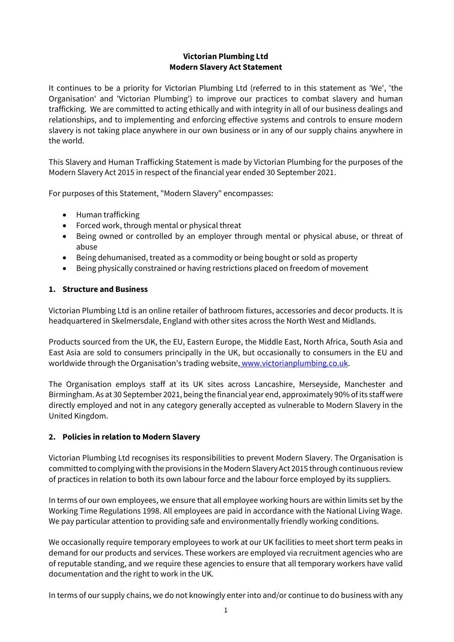## **Victorian Plumbing Ltd Modern Slavery Act Statement**

It continues to be a priority for Victorian Plumbing Ltd (referred to in this statement as 'We', 'the Organisation' and 'Victorian Plumbing') to improve our practices to combat slavery and human trafficking. We are committed to acting ethically and with integrity in all of our business dealings and relationships, and to implementing and enforcing effective systems and controls to ensure modern slavery is not taking place anywhere in our own business or in any of our supply chains anywhere in the world.

This Slavery and Human Trafficking Statement is made by Victorian Plumbing for the purposes of the Modern Slavery Act 2015 in respect of the financial year ended 30 September 2021.

For purposes of this Statement, "Modern Slavery" encompasses:

- Human trafficking
- Forced work, through mental or physical threat
- Being owned or controlled by an employer through mental or physical abuse, or threat of abuse
- Being dehumanised, treated as a commodity or being bought or sold as property
- Being physically constrained or having restrictions placed on freedom of movement

## **1. Structure and Business**

Victorian Plumbing Ltd is an online retailer of bathroom fixtures, accessories and decor products. It is headquartered in Skelmersdale, England with other sites across the North West and Midlands.

Products sourced from the UK, the EU, Eastern Europe, the Middle East, North Africa, South Asia and East Asia are sold to consumers principally in the UK, but occasionally to consumers in the EU and worldwide through the Organisation's trading website, [www.victorianplumbing.co.uk.](https://www.victorianplumbing.co.uk/)

The Organisation employs staff at its UK sites across Lancashire, Merseyside, Manchester and Birmingham. As at 30 September 2021, being the financial year end, approximately 90% of its staff were directly employed and not in any category generally accepted as vulnerable to Modern Slavery in the United Kingdom.

# **2. Policies in relation to Modern Slavery**

Victorian Plumbing Ltd recognises its responsibilities to prevent Modern Slavery. The Organisation is committed to complying with the provisions in the Modern Slavery Act 2015 through continuous review of practices in relation to both its own labour force and the labour force employed by its suppliers.

In terms of our own employees, we ensure that all employee working hours are within limits set by the Working Time Regulations 1998. All employees are paid in accordance with the National Living Wage. We pay particular attention to providing safe and environmentally friendly working conditions.

We occasionally require temporary employees to work at our UK facilities to meet short term peaks in demand for our products and services. These workers are employed via recruitment agencies who are of reputable standing, and we require these agencies to ensure that all temporary workers have valid documentation and the right to work in the UK.

In terms of our supply chains, we do not knowingly enter into and/or continue to do business with any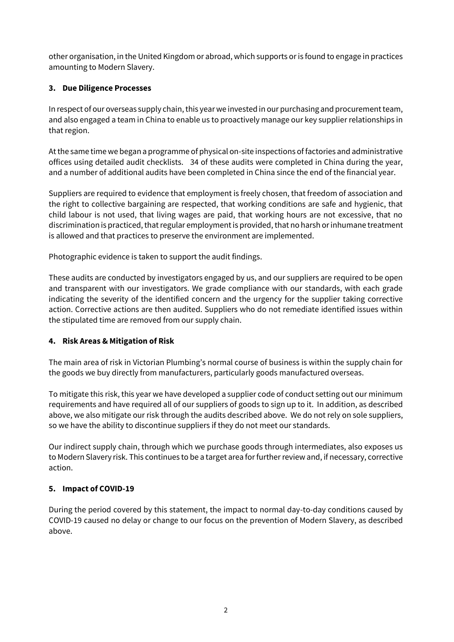other organisation, in the United Kingdom or abroad, which supports or is found to engage in practices amounting to Modern Slavery.

# **3. Due Diligence Processes**

In respect of our overseas supply chain, this year we invested in our purchasing and procurement team, and also engaged a team in China to enable us to proactively manage our key supplier relationships in that region.

At the same time we began a programme of physical on-site inspections of factories and administrative offices using detailed audit checklists. 34 of these audits were completed in China during the year, and a number of additional audits have been completed in China since the end of the financial year.

Suppliers are required to evidence that employment is freely chosen, that freedom of association and the right to collective bargaining are respected, that working conditions are safe and hygienic, that child labour is not used, that living wages are paid, that working hours are not excessive, that no discrimination is practiced, that regular employment is provided, that no harsh or inhumane treatment is allowed and that practices to preserve the environment are implemented.

Photographic evidence is taken to support the audit findings.

These audits are conducted by investigators engaged by us, and our suppliers are required to be open and transparent with our investigators. We grade compliance with our standards, with each grade indicating the severity of the identified concern and the urgency for the supplier taking corrective action. Corrective actions are then audited. Suppliers who do not remediate identified issues within the stipulated time are removed from our supply chain.

# **4. Risk Areas & Mitigation of Risk**

The main area of risk in Victorian Plumbing's normal course of business is within the supply chain for the goods we buy directly from manufacturers, particularly goods manufactured overseas.

To mitigate this risk, this year we have developed a supplier code of conduct setting out our minimum requirements and have required all of our suppliers of goods to sign up to it. In addition, as described above, we also mitigate our risk through the audits described above. We do not rely on sole suppliers, so we have the ability to discontinue suppliers if they do not meet our standards.

Our indirect supply chain, through which we purchase goods through intermediates, also exposes us to Modern Slavery risk. This continues to be a target area for further review and, if necessary, corrective action.

# **5. Impact of COVID-19**

During the period covered by this statement, the impact to normal day-to-day conditions caused by COVID-19 caused no delay or change to our focus on the prevention of Modern Slavery, as described above.